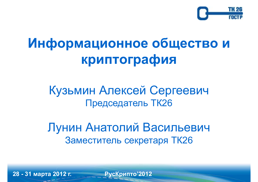

# **И фн ормационное общество <sup>и</sup> криптография**

# Кузьмин Алексей Сергеевич Председатель ТК26

Лунин Анатолий Васильевич Заместитель секретаря ТК26

**28 - 31 марта 2012 г. РусКрипто'2012**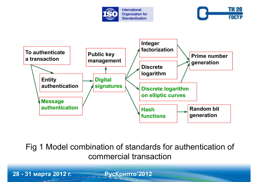





Fig 1 Model combination of standards for authentication of commercial transaction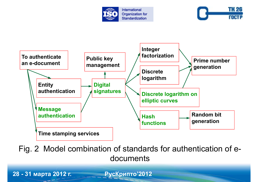





Fig. 2 Model combination of standards for authentication of edocuments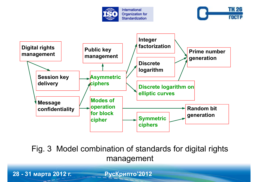





Fig. 3 Model combination of standards for digital rights management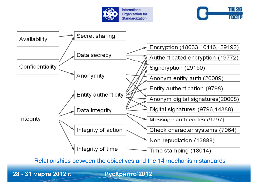





Relationships between the objectives and the 14 mechanism standards

**РусКрипто'2012**

**28 - 31 марта 2012 г.**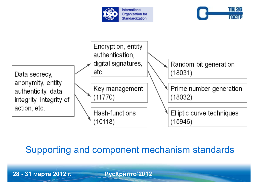





## Supporting and component mechanism standards

**28 - 31 марта 2012 г.**

**РусКрипто'2012**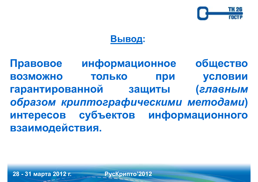

#### **Вывод:**

**Правовое информационное общество возможно только при условии гарантированной защиты (***главным образом криптографическими методами***) интересов субъектов информационного взаимодействия.**